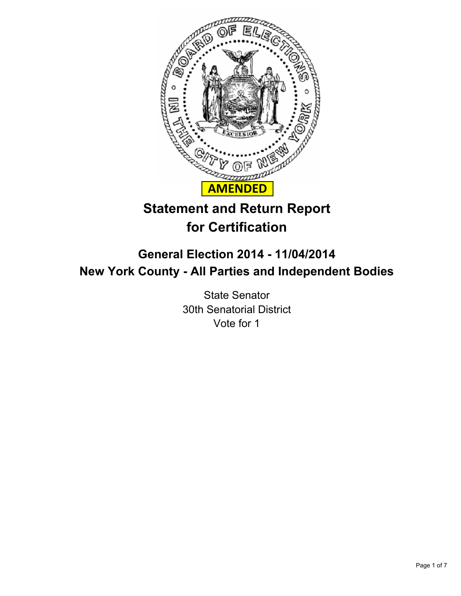

# **Statement and Return Report for Certification**

# **General Election 2014 - 11/04/2014 New York County - All Parties and Independent Bodies**

State Senator 30th Senatorial District Vote for 1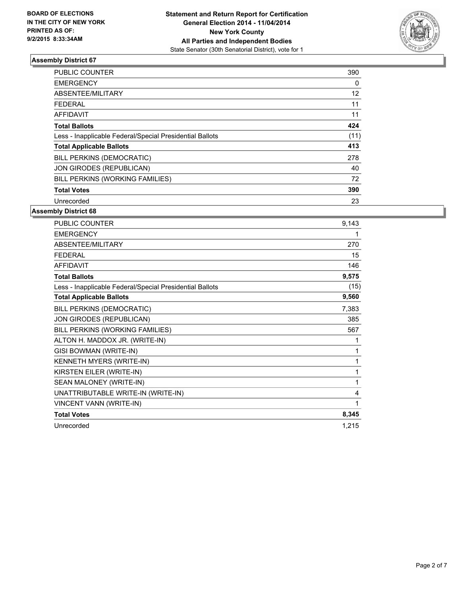

| <b>PUBLIC COUNTER</b>                                    | 390  |
|----------------------------------------------------------|------|
| <b>EMERGENCY</b>                                         | 0    |
| ABSENTEE/MILITARY                                        | 12   |
| FEDERAL                                                  | 11   |
| <b>AFFIDAVIT</b>                                         | 11   |
| <b>Total Ballots</b>                                     | 424  |
| Less - Inapplicable Federal/Special Presidential Ballots | (11) |
| <b>Total Applicable Ballots</b>                          | 413  |
| <b>BILL PERKINS (DEMOCRATIC)</b>                         | 278  |
| JON GIRODES (REPUBLICAN)                                 | 40   |
| BILL PERKINS (WORKING FAMILIES)                          | 72   |
| <b>Total Votes</b>                                       | 390  |
| Unrecorded                                               | 23   |

| PUBLIC COUNTER                                           | 9,143 |
|----------------------------------------------------------|-------|
| <b>EMERGENCY</b>                                         | 1     |
| ABSENTEE/MILITARY                                        | 270   |
| <b>FEDERAL</b>                                           | 15    |
| <b>AFFIDAVIT</b>                                         | 146   |
| <b>Total Ballots</b>                                     | 9,575 |
| Less - Inapplicable Federal/Special Presidential Ballots | (15)  |
| <b>Total Applicable Ballots</b>                          | 9,560 |
| BILL PERKINS (DEMOCRATIC)                                | 7,383 |
| JON GIRODES (REPUBLICAN)                                 | 385   |
| BILL PERKINS (WORKING FAMILIES)                          | 567   |
| ALTON H. MADDOX JR. (WRITE-IN)                           | 1     |
| GISI BOWMAN (WRITE-IN)                                   | 1     |
| KENNETH MYERS (WRITE-IN)                                 | 1     |
| KIRSTEN EILER (WRITE-IN)                                 | 1     |
| SEAN MALONEY (WRITE-IN)                                  | 1     |
| UNATTRIBUTABLE WRITE-IN (WRITE-IN)                       | 4     |
| VINCENT VANN (WRITE-IN)                                  | 1     |
| <b>Total Votes</b>                                       | 8,345 |
| Unrecorded                                               | 1,215 |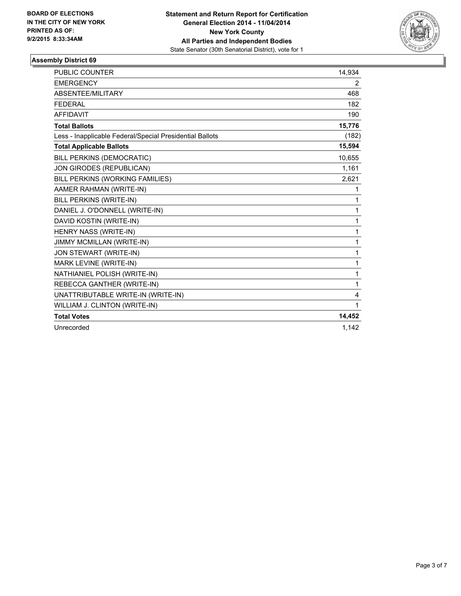

| <b>PUBLIC COUNTER</b>                                    | 14,934 |
|----------------------------------------------------------|--------|
| <b>EMERGENCY</b>                                         | 2      |
| <b>ABSENTEE/MILITARY</b>                                 | 468    |
| <b>FEDERAL</b>                                           | 182    |
| <b>AFFIDAVIT</b>                                         | 190    |
| <b>Total Ballots</b>                                     | 15,776 |
| Less - Inapplicable Federal/Special Presidential Ballots | (182)  |
| <b>Total Applicable Ballots</b>                          | 15,594 |
| BILL PERKINS (DEMOCRATIC)                                | 10,655 |
| JON GIRODES (REPUBLICAN)                                 | 1,161  |
| BILL PERKINS (WORKING FAMILIES)                          | 2,621  |
| AAMER RAHMAN (WRITE-IN)                                  | 1      |
| BILL PERKINS (WRITE-IN)                                  | 1      |
| DANIEL J. O'DONNELL (WRITE-IN)                           | 1      |
| DAVID KOSTIN (WRITE-IN)                                  | 1      |
| HENRY NASS (WRITE-IN)                                    | 1      |
| <b>JIMMY MCMILLAN (WRITE-IN)</b>                         | 1      |
| JON STEWART (WRITE-IN)                                   | 1      |
| MARK LEVINE (WRITE-IN)                                   | 1      |
| NATHIANIEL POLISH (WRITE-IN)                             | 1      |
| REBECCA GANTHER (WRITE-IN)                               | 1      |
| UNATTRIBUTABLE WRITE-IN (WRITE-IN)                       | 4      |
| WILLIAM J. CLINTON (WRITE-IN)                            | 1      |
| <b>Total Votes</b>                                       | 14,452 |
| Unrecorded                                               | 1.142  |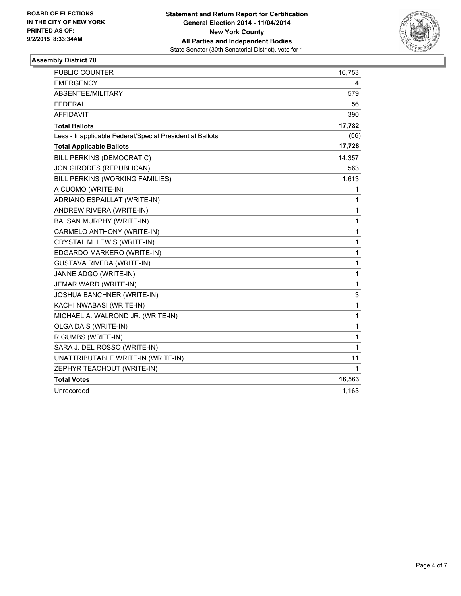

| PUBLIC COUNTER                                           | 16,753 |
|----------------------------------------------------------|--------|
| <b>EMERGENCY</b>                                         | 4      |
| ABSENTEE/MILITARY                                        | 579    |
| <b>FEDERAL</b>                                           | 56     |
| <b>AFFIDAVIT</b>                                         | 390    |
| <b>Total Ballots</b>                                     | 17,782 |
| Less - Inapplicable Federal/Special Presidential Ballots | (56)   |
| <b>Total Applicable Ballots</b>                          | 17,726 |
| BILL PERKINS (DEMOCRATIC)                                | 14,357 |
| JON GIRODES (REPUBLICAN)                                 | 563    |
| BILL PERKINS (WORKING FAMILIES)                          | 1,613  |
| A CUOMO (WRITE-IN)                                       | 1      |
| ADRIANO ESPAILLAT (WRITE-IN)                             | 1      |
| ANDREW RIVERA (WRITE-IN)                                 | 1      |
| BALSAN MURPHY (WRITE-IN)                                 | 1      |
| CARMELO ANTHONY (WRITE-IN)                               | 1      |
| CRYSTAL M. LEWIS (WRITE-IN)                              | 1      |
| EDGARDO MARKERO (WRITE-IN)                               | 1      |
| <b>GUSTAVA RIVERA (WRITE-IN)</b>                         | 1      |
| JANNE ADGO (WRITE-IN)                                    | 1      |
| JEMAR WARD (WRITE-IN)                                    | 1      |
| <b>JOSHUA BANCHNER (WRITE-IN)</b>                        | 3      |
| KACHI NWABASI (WRITE-IN)                                 | 1      |
| MICHAEL A. WALROND JR. (WRITE-IN)                        | 1      |
| OLGA DAIS (WRITE-IN)                                     | 1      |
| R GUMBS (WRITE-IN)                                       | 1      |
| SARA J. DEL ROSSO (WRITE-IN)                             | 1      |
| UNATTRIBUTABLE WRITE-IN (WRITE-IN)                       | 11     |
| ZEPHYR TEACHOUT (WRITE-IN)                               | 1      |
| <b>Total Votes</b>                                       | 16,563 |
| Unrecorded                                               | 1,163  |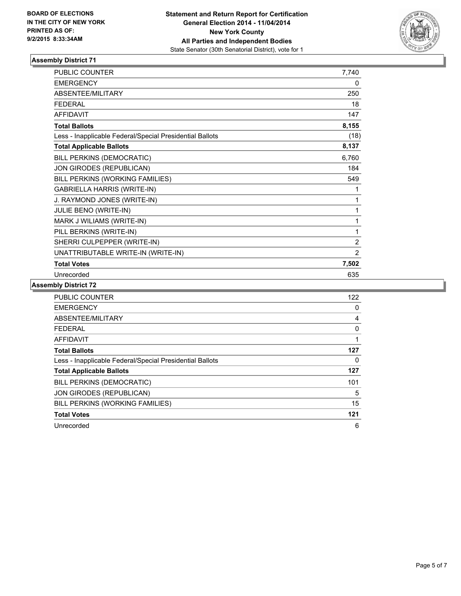

| <b>PUBLIC COUNTER</b>                                    | 7,740          |
|----------------------------------------------------------|----------------|
| <b>EMERGENCY</b>                                         | 0              |
| ABSENTEE/MILITARY                                        | 250            |
| <b>FFDFRAL</b>                                           | 18             |
| <b>AFFIDAVIT</b>                                         | 147            |
| <b>Total Ballots</b>                                     | 8,155          |
| Less - Inapplicable Federal/Special Presidential Ballots | (18)           |
| <b>Total Applicable Ballots</b>                          | 8,137          |
| BILL PERKINS (DEMOCRATIC)                                | 6,760          |
| JON GIRODES (REPUBLICAN)                                 | 184            |
| BILL PERKINS (WORKING FAMILIES)                          | 549            |
| <b>GABRIELLA HARRIS (WRITE-IN)</b>                       | 1              |
| J. RAYMOND JONES (WRITE-IN)                              | 1              |
| JULIE BENO (WRITE-IN)                                    | 1              |
| MARK J WILIAMS (WRITE-IN)                                | 1              |
| PILL BERKINS (WRITE-IN)                                  | 1              |
| SHERRI CULPEPPER (WRITE-IN)                              | $\overline{2}$ |
| UNATTRIBUTABLE WRITE-IN (WRITE-IN)                       | $\overline{2}$ |
| <b>Total Votes</b>                                       | 7,502          |
| Unrecorded                                               | 635            |

| <b>PUBLIC COUNTER</b>                                    | 122 |
|----------------------------------------------------------|-----|
| <b>EMERGENCY</b>                                         | 0   |
| ABSENTEE/MILITARY                                        | 4   |
| <b>FEDERAL</b>                                           | 0   |
| <b>AFFIDAVIT</b>                                         |     |
| <b>Total Ballots</b>                                     | 127 |
| Less - Inapplicable Federal/Special Presidential Ballots | 0   |
| <b>Total Applicable Ballots</b>                          | 127 |
| BILL PERKINS (DEMOCRATIC)                                | 101 |
| JON GIRODES (REPUBLICAN)                                 | 5   |
| BILL PERKINS (WORKING FAMILIES)                          | 15  |
| <b>Total Votes</b>                                       | 121 |
| Unrecorded                                               | 6   |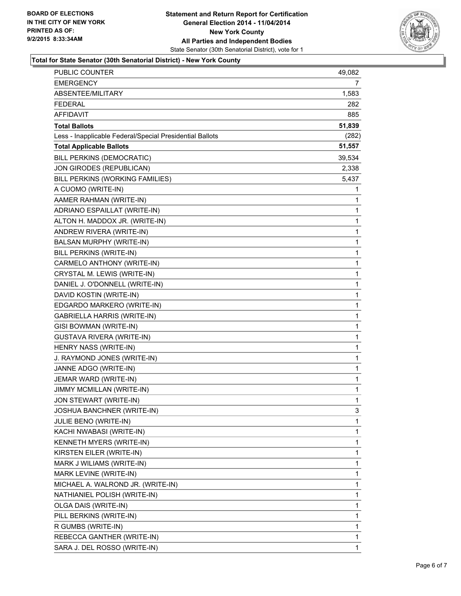

#### **Total for State Senator (30th Senatorial District) - New York County**

| PUBLIC COUNTER                                           | 49,082         |
|----------------------------------------------------------|----------------|
| <b>EMERGENCY</b>                                         | $\overline{7}$ |
| ABSENTEE/MILITARY                                        | 1,583          |
| <b>FEDERAL</b>                                           | 282            |
| <b>AFFIDAVIT</b>                                         | 885            |
| <b>Total Ballots</b>                                     | 51,839         |
| Less - Inapplicable Federal/Special Presidential Ballots | (282)          |
| <b>Total Applicable Ballots</b>                          | 51,557         |
| BILL PERKINS (DEMOCRATIC)                                | 39,534         |
| JON GIRODES (REPUBLICAN)                                 | 2,338          |
| BILL PERKINS (WORKING FAMILIES)                          | 5,437          |
| A CUOMO (WRITE-IN)                                       | 1              |
| AAMER RAHMAN (WRITE-IN)                                  | 1              |
| ADRIANO ESPAILLAT (WRITE-IN)                             | 1              |
| ALTON H. MADDOX JR. (WRITE-IN)                           | 1              |
| ANDREW RIVERA (WRITE-IN)                                 | 1              |
| BALSAN MURPHY (WRITE-IN)                                 | 1              |
| <b>BILL PERKINS (WRITE-IN)</b>                           | 1              |
| CARMELO ANTHONY (WRITE-IN)                               | 1              |
| CRYSTAL M. LEWIS (WRITE-IN)                              | 1              |
| DANIEL J. O'DONNELL (WRITE-IN)                           | 1              |
| DAVID KOSTIN (WRITE-IN)                                  | 1              |
| EDGARDO MARKERO (WRITE-IN)                               | 1              |
| <b>GABRIELLA HARRIS (WRITE-IN)</b>                       | 1              |
| GISI BOWMAN (WRITE-IN)                                   | 1              |
| <b>GUSTAVA RIVERA (WRITE-IN)</b>                         | 1              |
| HENRY NASS (WRITE-IN)                                    | 1              |
| J. RAYMOND JONES (WRITE-IN)                              | 1              |
| JANNE ADGO (WRITE-IN)                                    | 1              |
| JEMAR WARD (WRITE-IN)                                    | 1              |
| JIMMY MCMILLAN (WRITE-IN)                                | 1              |
| <b>JON STEWART (WRITE-IN)</b>                            | 1              |
| JOSHUA BANCHNER (WRITE-IN)                               | 3              |
| JULIE BENO (WRITE-IN)                                    | 1              |
| KACHI NWABASI (WRITE-IN)                                 | 1              |
| KENNETH MYERS (WRITE-IN)                                 | 1              |
| KIRSTEN EILER (WRITE-IN)                                 | 1              |
| MARK J WILIAMS (WRITE-IN)                                | 1              |
| MARK LEVINE (WRITE-IN)                                   | 1              |
| MICHAEL A. WALROND JR. (WRITE-IN)                        | 1              |
| NATHIANIEL POLISH (WRITE-IN)                             | 1              |
| OLGA DAIS (WRITE-IN)                                     | 1              |
| PILL BERKINS (WRITE-IN)                                  | 1              |
| R GUMBS (WRITE-IN)                                       | 1              |
| REBECCA GANTHER (WRITE-IN)                               | 1              |
| SARA J. DEL ROSSO (WRITE-IN)                             | 1              |